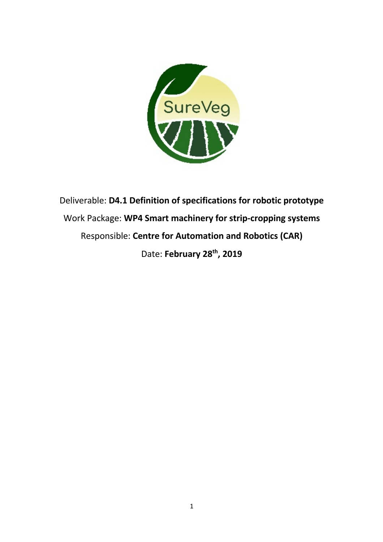

Deliverable: **D4.1 Definition of specifications for robotic prototype** Work Package: **WP4 Smart machinery for strip-cropping systems** Responsible: **Centre for Automation and Robotics (CAR)** Date: **February 28th, 2019**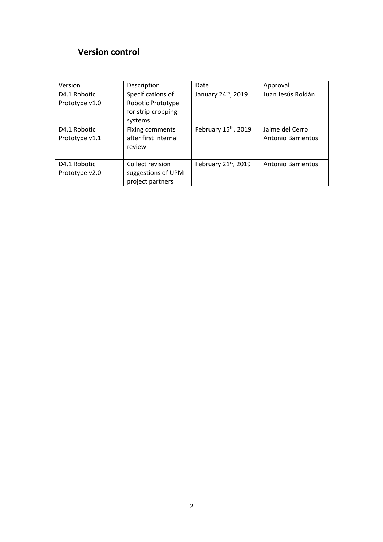## **Version control**

| Version        | Description            | Date                             | Approval                  |
|----------------|------------------------|----------------------------------|---------------------------|
| D4.1 Robotic   | Specifications of      | January 24th, 2019               | Juan Jesús Roldán         |
| Prototype v1.0 | Robotic Prototype      |                                  |                           |
|                | for strip-cropping     |                                  |                           |
|                | systems                |                                  |                           |
| D4.1 Robotic   | <b>Fixing comments</b> | February 15 <sup>th</sup> , 2019 | Jaime del Cerro           |
| Prototype v1.1 | after first internal   |                                  | <b>Antonio Barrientos</b> |
|                | review                 |                                  |                           |
|                |                        |                                  |                           |
| D4.1 Robotic   | Collect revision       | February 21 <sup>st</sup> , 2019 | Antonio Barrientos        |
| Prototype v2.0 | suggestions of UPM     |                                  |                           |
|                | project partners       |                                  |                           |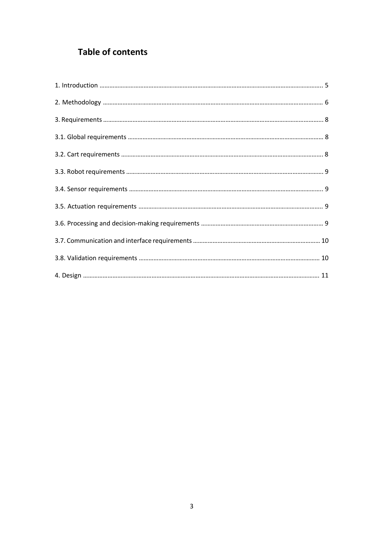## **Table of contents**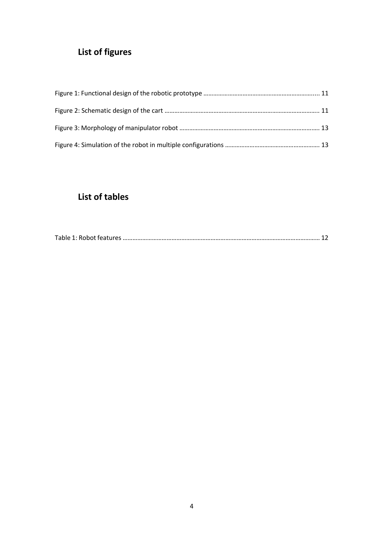# **List of figures**

## **List of tables**

|--|--|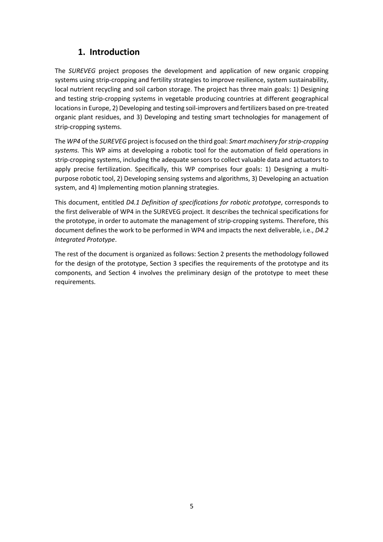### **1. Introduction**

The *SUREVEG* project proposes the development and application of new organic cropping systems using strip-cropping and fertility strategies to improve resilience, system sustainability, local nutrient recycling and soil carbon storage. The project has three main goals: 1) Designing and testing strip-cropping systems in vegetable producing countries at different geographical locations in Europe, 2) Developing and testing soil-improvers and fertilizers based on pre-treated organic plant residues, and 3) Developing and testing smart technologies for management of strip-cropping systems.

The *WP4* of the *SUREVEG* project is focused on the third goal: *Smart machinery for strip-cropping systems.* This WP aims at developing a robotic tool for the automation of field operations in strip-cropping systems, including the adequate sensors to collect valuable data and actuators to apply precise fertilization. Specifically, this WP comprises four goals: 1) Designing a multipurpose robotic tool, 2) Developing sensing systems and algorithms, 3) Developing an actuation system, and 4) Implementing motion planning strategies.

This document, entitled *D4.1 Definition of specifications for robotic prototype*, corresponds to the first deliverable of WP4 in the SUREVEG project. It describes the technical specifications for the prototype, in order to automate the management of strip-cropping systems. Therefore, this document defines the work to be performed in WP4 and impacts the next deliverable, i.e., *D4.2 Integrated Prototype*.

The rest of the document is organized as follows: Section 2 presents the methodology followed for the design of the prototype, Section 3 specifies the requirements of the prototype and its components, and Section 4 involves the preliminary design of the prototype to meet these requirements.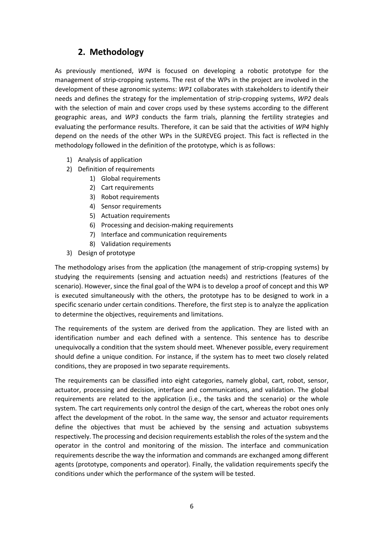## **2. Methodology**

As previously mentioned, *WP4* is focused on developing a robotic prototype for the management of strip-cropping systems. The rest of the WPs in the project are involved in the development of these agronomic systems: *WP1* collaborates with stakeholders to identify their needs and defines the strategy for the implementation of strip-cropping systems, *WP2* deals with the selection of main and cover crops used by these systems according to the different geographic areas, and *WP3* conducts the farm trials, planning the fertility strategies and evaluating the performance results. Therefore, it can be said that the activities of *WP4* highly depend on the needs of the other WPs in the SUREVEG project. This fact is reflected in the methodology followed in the definition of the prototype, which is as follows:

- 1) Analysis of application
- 2) Definition of requirements
	- 1) Global requirements
	- 2) Cart requirements
	- 3) Robot requirements
	- 4) Sensor requirements
	- 5) Actuation requirements
	- 6) Processing and decision-making requirements
	- 7) Interface and communication requirements
	- 8) Validation requirements
- 3) Design of prototype

The methodology arises from the application (the management of strip-cropping systems) by studying the requirements (sensing and actuation needs) and restrictions (features of the scenario). However, since the final goal of the WP4 is to develop a proof of concept and this WP is executed simultaneously with the others, the prototype has to be designed to work in a specific scenario under certain conditions. Therefore, the first step is to analyze the application to determine the objectives, requirements and limitations.

The requirements of the system are derived from the application. They are listed with an identification number and each defined with a sentence. This sentence has to describe unequivocally a condition that the system should meet. Whenever possible, every requirement should define a unique condition. For instance, if the system has to meet two closely related conditions, they are proposed in two separate requirements.

The requirements can be classified into eight categories, namely global, cart, robot, sensor, actuator, processing and decision, interface and communications, and validation. The global requirements are related to the application (i.e., the tasks and the scenario) or the whole system. The cart requirements only control the design of the cart, whereas the robot ones only affect the development of the robot. In the same way, the sensor and actuator requirements define the objectives that must be achieved by the sensing and actuation subsystems respectively. The processing and decision requirements establish the roles of the system and the operator in the control and monitoring of the mission. The interface and communication requirements describe the way the information and commands are exchanged among different agents (prototype, components and operator). Finally, the validation requirements specify the conditions under which the performance of the system will be tested.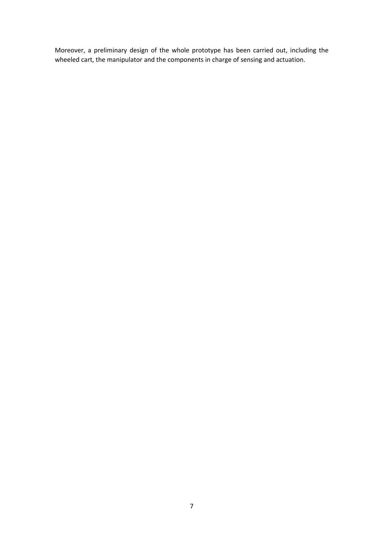Moreover, a preliminary design of the whole prototype has been carried out, including the wheeled cart, the manipulator and the components in charge of sensing and actuation.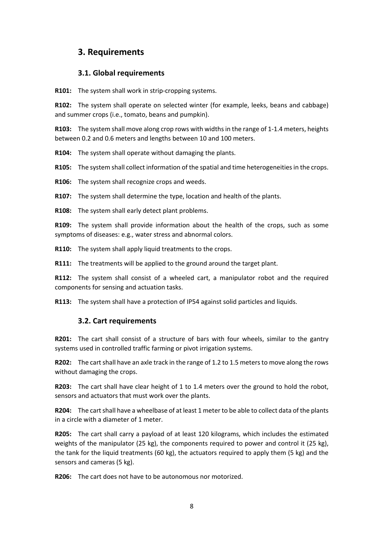### **3. Requirements**

#### **3.1. Global requirements**

**R101:** The system shall work in strip-cropping systems.

**R102:** The system shall operate on selected winter (for example, leeks, beans and cabbage) and summer crops (i.e., tomato, beans and pumpkin).

**R103:** The system shall move along crop rows with widths in the range of 1-1.4 meters, heights between 0.2 and 0.6 meters and lengths between 10 and 100 meters.

**R104:** The system shall operate without damaging the plants.

**R105:** The system shall collect information of the spatial and time heterogeneities in the crops.

**R106:** The system shall recognize crops and weeds.

**R107:** The system shall determine the type, location and health of the plants.

**R108:** The system shall early detect plant problems.

**R109:** The system shall provide information about the health of the crops, such as some symptoms of diseases: e.g., water stress and abnormal colors.

**R110:** The system shall apply liquid treatments to the crops.

**R111:** The treatments will be applied to the ground around the target plant.

**R112:** The system shall consist of a wheeled cart, a manipulator robot and the required components for sensing and actuation tasks.

**R113:** The system shall have a protection of IP54 against solid particles and liquids.

#### **3.2. Cart requirements**

**R201:** The cart shall consist of a structure of bars with four wheels, similar to the gantry systems used in controlled traffic farming or pivot irrigation systems.

**R202:** The cart shall have an axle track in the range of 1.2 to 1.5 meters to move along the rows without damaging the crops.

**R203:** The cart shall have clear height of 1 to 1.4 meters over the ground to hold the robot, sensors and actuators that must work over the plants.

**R204:** The cart shall have a wheelbase of at least 1 meter to be able to collect data of the plants in a circle with a diameter of 1 meter.

**R205:** The cart shall carry a payload of at least 120 kilograms, which includes the estimated weights of the manipulator (25 kg), the components required to power and control it (25 kg), the tank for the liquid treatments (60 kg), the actuators required to apply them (5 kg) and the sensors and cameras (5 kg).

**R206:** The cart does not have to be autonomous nor motorized.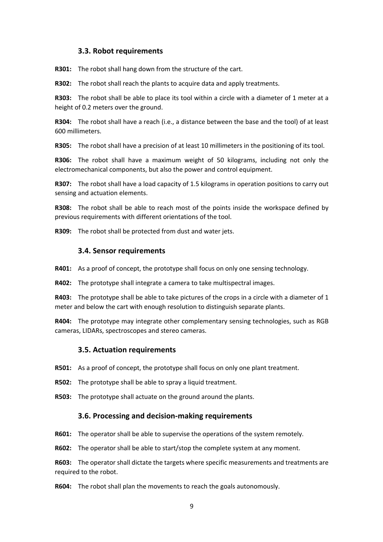#### **3.3. Robot requirements**

**R301:** The robot shall hang down from the structure of the cart.

**R302:** The robot shall reach the plants to acquire data and apply treatments.

**R303:** The robot shall be able to place its tool within a circle with a diameter of 1 meter at a height of 0.2 meters over the ground.

**R304:** The robot shall have a reach (i.e., a distance between the base and the tool) of at least 600 millimeters.

**R305:** The robot shall have a precision of at least 10 millimeters in the positioning of its tool.

**R306:** The robot shall have a maximum weight of 50 kilograms, including not only the electromechanical components, but also the power and control equipment.

**R307:** The robot shall have a load capacity of 1.5 kilograms in operation positions to carry out sensing and actuation elements.

**R308:** The robot shall be able to reach most of the points inside the workspace defined by previous requirements with different orientations of the tool.

**R309:** The robot shall be protected from dust and water jets.

#### **3.4. Sensor requirements**

**R401:** As a proof of concept, the prototype shall focus on only one sensing technology.

**R402:** The prototype shall integrate a camera to take multispectral images.

**R403:** The prototype shall be able to take pictures of the crops in a circle with a diameter of 1 meter and below the cart with enough resolution to distinguish separate plants.

**R404:** The prototype may integrate other complementary sensing technologies, such as RGB cameras, LIDARs, spectroscopes and stereo cameras.

#### **3.5. Actuation requirements**

**R501:** As a proof of concept, the prototype shall focus on only one plant treatment.

**R502:** The prototype shall be able to spray a liquid treatment.

**R503:** The prototype shall actuate on the ground around the plants.

#### **3.6. Processing and decision-making requirements**

**R601:** The operator shall be able to supervise the operations of the system remotely.

**R602:** The operator shall be able to start/stop the complete system at any moment.

**R603:** The operator shall dictate the targets where specific measurements and treatments are required to the robot.

**R604:** The robot shall plan the movements to reach the goals autonomously.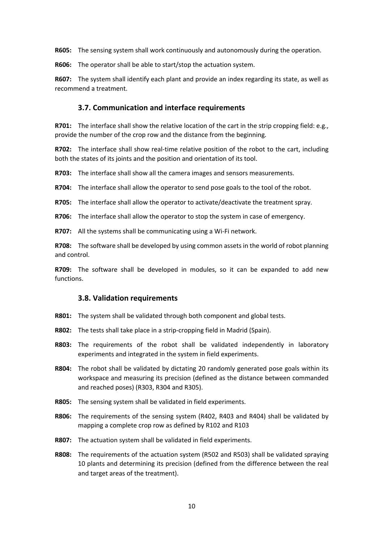**R605:** The sensing system shall work continuously and autonomously during the operation.

**R606:** The operator shall be able to start/stop the actuation system.

**R607:** The system shall identify each plant and provide an index regarding its state, as well as recommend a treatment.

#### **3.7. Communication and interface requirements**

**R701:** The interface shall show the relative location of the cart in the strip cropping field: e.g., provide the number of the crop row and the distance from the beginning.

**R702:** The interface shall show real-time relative position of the robot to the cart, including both the states of its joints and the position and orientation of its tool.

**R703:** The interface shall show all the camera images and sensors measurements.

**R704:** The interface shall allow the operator to send pose goals to the tool of the robot.

**R705:** The interface shall allow the operator to activate/deactivate the treatment spray.

**R706:** The interface shall allow the operator to stop the system in case of emergency.

**R707:** All the systems shall be communicating using a Wi-Fi network.

**R708:** The software shall be developed by using common assets in the world of robot planning and control.

**R709:** The software shall be developed in modules, so it can be expanded to add new functions.

#### **3.8. Validation requirements**

- **R801:** The system shall be validated through both component and global tests.
- **R802:** The tests shall take place in a strip-cropping field in Madrid (Spain).
- **R803:** The requirements of the robot shall be validated independently in laboratory experiments and integrated in the system in field experiments.
- **R804:** The robot shall be validated by dictating 20 randomly generated pose goals within its workspace and measuring its precision (defined as the distance between commanded and reached poses) (R303, R304 and R305).
- **R805:** The sensing system shall be validated in field experiments.
- **R806:** The requirements of the sensing system (R402, R403 and R404) shall be validated by mapping a complete crop row as defined by R102 and R103
- **R807:** The actuation system shall be validated in field experiments.
- **R808:** The requirements of the actuation system (R502 and R503) shall be validated spraying 10 plants and determining its precision (defined from the difference between the real and target areas of the treatment).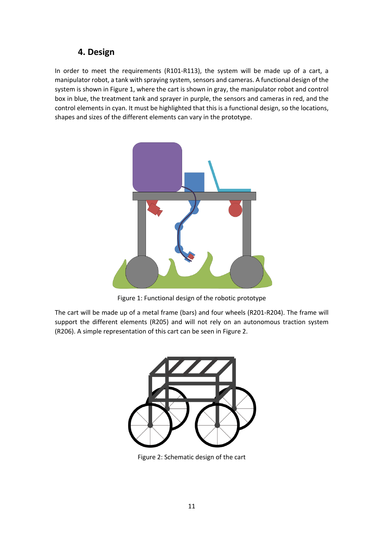## **4. Design**

In order to meet the requirements (R101-R113), the system will be made up of a cart, a manipulator robot, a tank with spraying system, sensors and cameras. A functional design of the system is shown in Figure 1, where the cart is shown in gray, the manipulator robot and control box in blue, the treatment tank and sprayer in purple, the sensors and cameras in red, and the control elements in cyan. It must be highlighted that this is a functional design, so the locations, shapes and sizes of the different elements can vary in the prototype.



Figure 1: Functional design of the robotic prototype

The cart will be made up of a metal frame (bars) and four wheels (R201-R204). The frame will support the different elements (R205) and will not rely on an autonomous traction system (R206). A simple representation of this cart can be seen in Figure 2.



Figure 2: Schematic design of the cart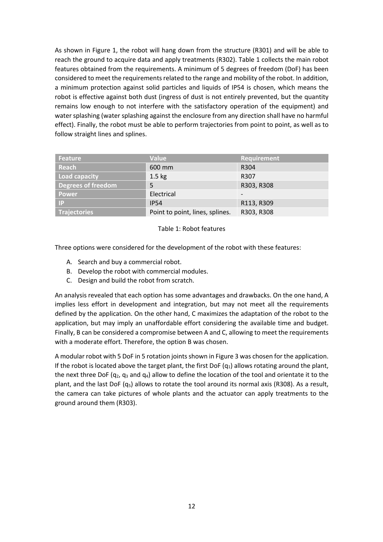As shown in Figure 1, the robot will hang down from the structure (R301) and will be able to reach the ground to acquire data and apply treatments (R302). Table 1 collects the main robot features obtained from the requirements. A minimum of 5 degrees of freedom (DoF) has been considered to meet the requirements related to the range and mobility of the robot. In addition, a minimum protection against solid particles and liquids of IP54 is chosen, which means the robot is effective against both dust (ingress of dust is not entirely prevented, but the quantity remains low enough to not interfere with the satisfactory operation of the equipment) and water splashing (water splashing against the enclosure from any direction shall have no harmful effect). Finally, the robot must be able to perform trajectories from point to point, as well as to follow straight lines and splines.

| <b>Feature</b>            | <b>Value</b>                    | <b>Requirement</b> |
|---------------------------|---------------------------------|--------------------|
| Reach                     | 600 mm                          | R <sub>304</sub>   |
| Load capacity             | $1.5 \text{ kg}$                | R307               |
| <b>Degrees of freedom</b> | 5                               | R303, R308         |
| <b>Power</b>              | Electrical                      |                    |
| /IP/                      | <b>IP54</b>                     | R113, R309         |
| <b>Trajectories</b>       | Point to point, lines, splines. | R303, R308         |

#### Table 1: Robot features

Three options were considered for the development of the robot with these features:

- A. Search and buy a commercial robot.
- B. Develop the robot with commercial modules.
- C. Design and build the robot from scratch.

An analysis revealed that each option has some advantages and drawbacks. On the one hand, A implies less effort in development and integration, but may not meet all the requirements defined by the application. On the other hand, C maximizes the adaptation of the robot to the application, but may imply an unaffordable effort considering the available time and budget. Finally, B can be considered a compromise between A and C, allowing to meet the requirements with a moderate effort. Therefore, the option B was chosen.

A modular robot with 5 DoF in 5 rotation joints shown in Figure 3 was chosen for the application. If the robot is located above the target plant, the first DoF  $(q_1)$  allows rotating around the plant, the next three DoF ( $q_2$ ,  $q_3$  and  $q_4$ ) allow to define the location of the tool and orientate it to the plant, and the last DoF ( $q_5$ ) allows to rotate the tool around its normal axis (R308). As a result, the camera can take pictures of whole plants and the actuator can apply treatments to the ground around them (R303).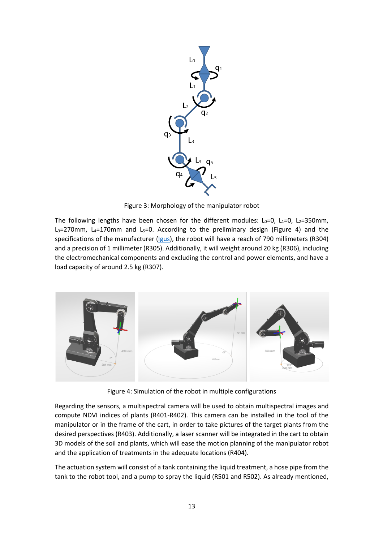

Figure 3: Morphology of the manipulator robot

The following lengths have been chosen for the different modules:  $L_0=0$ ,  $L_1=0$ ,  $L_2=350$ mm,  $L_3$ =270mm,  $L_4$ =170mm and  $L_5$ =0. According to the preliminary design (Figure 4) and the specifications of the manufacturer (Igus), the robot will have a reach of 790 millimeters (R304) and a precision of 1 millimeter (R305). Additionally, it will weight around 20 kg (R306), including the electromechanical components and excluding the control and power elements, and have a load capacity of around 2.5 kg (R307).



Figure 4: Simulation of the robot in multiple configurations

Regarding the sensors, a multispectral camera will be used to obtain multispectral images and compute NDVI indices of plants (R401-R402). This camera can be installed in the tool of the manipulator or in the frame of the cart, in order to take pictures of the target plants from the desired perspectives (R403). Additionally, a laser scanner will be integrated in the cart to obtain 3D models of the soil and plants, which will ease the motion planning of the manipulator robot and the application of treatments in the adequate locations (R404).

The actuation system will consist of a tank containing the liquid treatment, a hose pipe from the tank to the robot tool, and a pump to spray the liquid (R501 and R502). As already mentioned,